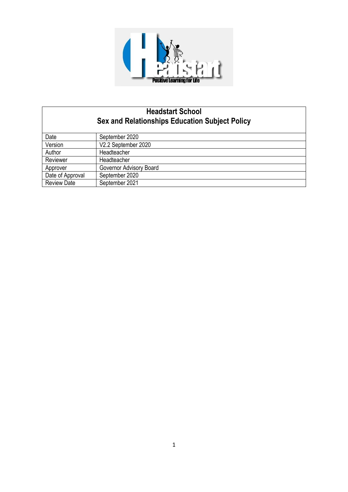

# **Headstart School Sex and Relationships Education Subject Policy**

| Date               | September 2020          |
|--------------------|-------------------------|
| Version            | V2.2 September 2020     |
| Author             | Headteacher             |
| Reviewer           | Headteacher             |
| Approver           | Governor Advisory Board |
| Date of Approval   | September 2020          |
| <b>Review Date</b> | September 2021          |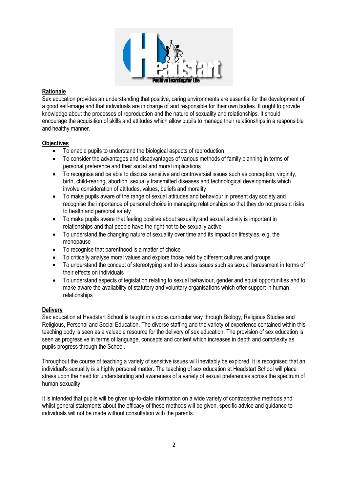

## **Rationale**

Sex education provides an understanding that positive, caring environments are essential for the development of a good self-image and that individuals are in charge of and responsible for their own bodies. It ought to provide knowledge about the processes of reproduction and the nature of sexuality and relationships. It should encourage the acquisition of skills and attitudes which allow pupils to manage their relationships in a responsible and healthy manner.

## **Objectives**

- To enable pupils to understand the biological aspects of reproduction
- To consider the advantages and disadvantages of various methods of family planning in terms of personal preference and their social and moral implications
- To recognise and be able to discuss sensitive and controversial issues such as conception, virginity, birth, child-rearing, abortion, sexually transmitted diseases and technological developments which involve consideration of attitudes, values, beliefs and morality
- To make pupils aware of the range of sexual attitudes and behaviour in present day society and recognise the importance of personal choice in managing relationships so that they do not present risks to health and personal safety
- To make pupils aware that feeling positive about sexuality and sexual activity is important in relationships and that people have the right not to be sexually active
- To understand the changing nature of sexuality over time and its impact on lifestyles, e.g. the menopause
- To recognise that parenthood is a matter of choice
- To critically analyse moral values and explore those held by different cultures and groups
- To understand the concept of stereotyping and to discuss issues such as sexual harassment in terms of their effects on individuals
- To understand aspects of legislation relating to sexual behaviour, gender and equal opportunities and to make aware the availability of statutory and voluntary organisations which offer support in human relationships

# **Delivery**

Sex education at Headstart School is taught in a cross curricular way through Biology, Religious Studies and Religious, Personal and Social Education. The diverse staffing and the variety of experience contained within this teaching body is seen as a valuable resource for the delivery of sex education. The provision of sex education is seen as progressive in terms of language, concepts and content which increases in depth and complexity as pupils progress through the School.

Throughout the course of teaching a variety of sensitive issues will inevitably be explored. It is recognised that an individual's sexuality is a highly personal matter. The teaching of sex education at Headstart School will place stress upon the need for understanding and awareness of a variety of sexual preferences across the spectrum of human sexuality.

It is intended that pupils will be given up-to-date information on a wide variety of contraceptive methods and whilst general statements about the efficacy of these methods will be given, specific advice and guidance to individuals will not be made without consultation with the parents.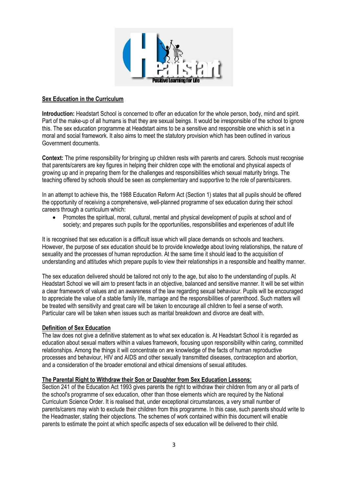

## **Sex Education in the Curriculum**

**Introduction:** Headstart School is concerned to offer an education for the whole person, body, mind and spirit. Part of the make-up of all humans is that they are sexual beings. It would be irresponsible of the school to ignore this. The sex education programme at Headstart aims to be a sensitive and responsible one which is set in a moral and social framework. It also aims to meet the statutory provision which has been outlined in various Government documents.

**Context:** The prime responsibility for bringing up children rests with parents and carers. Schools must recognise that parents/carers are key figures in helping their children cope with the emotional and physical aspects of growing up and in preparing them for the challenges and responsibilities which sexual maturity brings. The teaching offered by schools should be seen as complementary and supportive to the role of parents/carers.

In an attempt to achieve this, the 1988 Education Reform Act (Section 1) states that all pupils should be offered the opportunity of receiving a comprehensive, well-planned programme of sex education during their school careers through a curriculum which:

• Promotes the spiritual, moral, cultural, mental and physical development of pupils at school and of society; and prepares such pupils for the opportunities, responsibilities and experiences of adult life

It is recognised that sex education is a difficult issue which will place demands on schools and teachers. However, the purpose of sex education should be to provide knowledge about loving relationships, the nature of sexuality and the processes of human reproduction. At the same time it should lead to the acquisition of understanding and attitudes which prepare pupils to view their relationships in a responsible and healthy manner.

The sex education delivered should be tailored not only to the age, but also to the understanding of pupils. At Headstart School we will aim to present facts in an objective, balanced and sensitive manner. It will be set within a clear framework of values and an awareness of the law regarding sexual behaviour. Pupils will be encouraged to appreciate the value of a stable family life, marriage and the responsibilities of parenthood. Such matters will be treated with sensitivity and great care will be taken to encourage all children to feel a sense of worth. Particular care will be taken when issues such as marital breakdown and divorce are dealt with.

#### **Definition of Sex Education**

The law does not give a definitive statement as to what sex education is. At Headstart School it is regarded as education about sexual matters within a values framework, focusing upon responsibility within caring, committed relationships. Among the things it will concentrate on are knowledge of the facts of human reproductive processes and behaviour, HIV and AIDS and other sexually transmitted diseases, contraception and abortion, and a consideration of the broader emotional and ethical dimensions of sexual attitudes.

#### **The Parental Right to Withdraw their Son or Daughter from Sex Education Lessons:**

Section 241 of the Education Act 1993 gives parents the right to withdraw their children from any or all parts of the school's programme of sex education, other than those elements which are required by the National Curriculum Science Order. It is realised that, under exceptional circumstances, a very small number of parents/carers may wish to exclude their children from this programme. In this case, such parents should write to the Headmaster, stating their objections. The schemes of work contained within this document will enable parents to estimate the point at which specific aspects of sex education will be delivered to their child.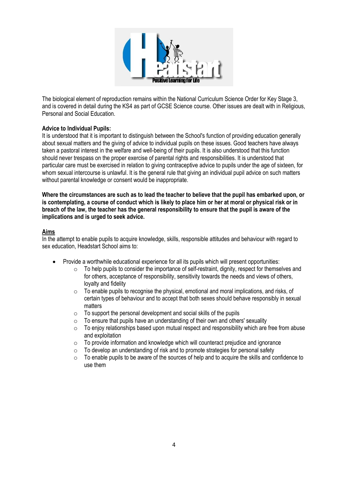

The biological element of reproduction remains within the National Curriculum Science Order for Key Stage 3, and is covered in detail during the KS4 as part of GCSE Science course. Other issues are dealt with in Religious, Personal and Social Education.

# **Advice to Individual Pupils:**

It is understood that it is important to distinguish between the School's function of providing education generally about sexual matters and the giving of advice to individual pupils on these issues. Good teachers have always taken a pastoral interest in the welfare and well-being of their pupils. It is also understood that this function should never trespass on the proper exercise of parental rights and responsibilities. It is understood that particular care must be exercised in relation to giving contraceptive advice to pupils under the age of sixteen, for whom sexual intercourse is unlawful. It is the general rule that giving an individual pupil advice on such matters without parental knowledge or consent would be inappropriate.

**Where the circumstances are such as to lead the teacher to believe that the pupil has embarked upon, or is contemplating, a course of conduct which is likely to place him or her at moral or physical risk or in breach of the law, the teacher has the general responsibility to ensure that the pupil is aware of the implications and is urged to seek advice.**

## **Aims**

In the attempt to enable pupils to acquire knowledge, skills, responsible attitudes and behaviour with regard to sex education, Headstart School aims to:

- Provide a worthwhile educational experience for all its pupils which will present opportunities:
	- o To help pupils to consider the importance of self-restraint, dignity, respect for themselves and for others, acceptance of responsibility, sensitivity towards the needs and views of others, loyalty and fidelity
	- o To enable pupils to recognise the physical, emotional and moral implications, and risks, of certain types of behaviour and to accept that both sexes should behave responsibly in sexual matters
	- $\circ$  To support the personal development and social skills of the pupils
	- $\circ$  To ensure that pupils have an understanding of their own and others' sexuality
	- $\circ$  To enjoy relationships based upon mutual respect and responsibility which are free from abuse and exploitation
	- $\circ$  To provide information and knowledge which will counteract prejudice and ignorance
	- o To develop an understanding of risk and to promote strategies for personal safety
	- $\circ$  To enable pupils to be aware of the sources of help and to acquire the skills and confidence to use them